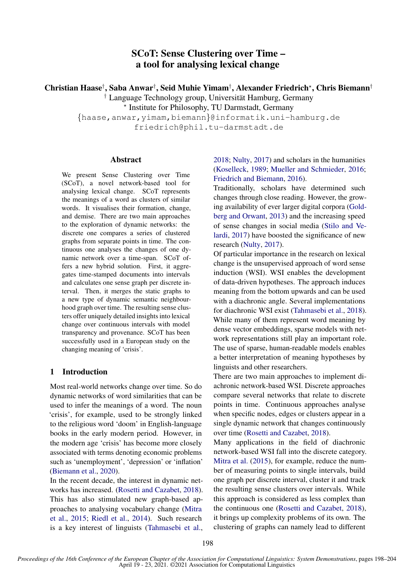# SCoT: Sense Clustering over Time – a tool for analysing lexical change

Christian Haase† , Saba Anwar† , Seid Muhie Yimam† , Alexander Friedrich? , Chris Biemann† † Language Technology group, Universitat Hamburg, Germany ¨

? Institute for Philosophy, TU Darmstadt, Germany

{haase,anwar,yimam,biemann}@informatik.uni-hamburg.de friedrich@phil.tu-darmstadt.de

### Abstract

We present Sense Clustering over Time (SCoT), a novel network-based tool for analysing lexical change. SCoT represents the meanings of a word as clusters of similar words. It visualises their formation, change, and demise. There are two main approaches to the exploration of dynamic networks: the discrete one compares a series of clustered graphs from separate points in time. The continuous one analyses the changes of one dynamic network over a time-span. SCoT offers a new hybrid solution. First, it aggregates time-stamped documents into intervals and calculates one sense graph per discrete interval. Then, it merges the static graphs to a new type of dynamic semantic neighbourhood graph over time. The resulting sense clusters offer uniquely detailed insights into lexical change over continuous intervals with model transparency and provenance. SCoT has been successfully used in a European study on the changing meaning of 'crisis'.

### 1 Introduction

Most real-world networks change over time. So do dynamic networks of word similarities that can be used to infer the meanings of a word. The noun 'crisis', for example, used to be strongly linked to the religious word 'doom' in English-language books in the early modern period. However, in the modern age 'crisis' has become more closely associated with terms denoting economic problems such as 'unemployment', 'depression' or 'inflation' [\(Biemann et al.,](#page-6-0) [2020\)](#page-6-0).

In the recent decade, the interest in dynamic networks has increased. [\(Rosetti and Cazabet,](#page-6-1) [2018\)](#page-6-1). This has also stimulated new graph-based approaches to analysing vocabulary change [\(Mitra](#page-6-2) [et al.,](#page-6-2) [2015;](#page-6-2) [Riedl et al.,](#page-6-3) [2014\)](#page-6-3). Such research is a key interest of linguists [\(Tahmasebi et al.,](#page-6-4)

[2018;](#page-6-4) [Nulty,](#page-6-5) [2017\)](#page-6-5) and scholars in the humanities [\(Koselleck,](#page-6-6) [1989;](#page-6-6) [Mueller and Schmieder,](#page-6-7) [2016;](#page-6-7) [Friedrich and Biemann,](#page-6-8) [2016\)](#page-6-8).

Traditionally, scholars have determined such changes through close reading. However, the growing availability of ever larger digital corpora [\(Gold](#page-6-9)[berg and Orwant,](#page-6-9) [2013\)](#page-6-9) and the increasing speed of sense changes in social media [\(Stilo and Ve](#page-6-10)[lardi,](#page-6-10) [2017\)](#page-6-10) have boosted the significance of new research [\(Nulty,](#page-6-5) [2017\)](#page-6-5).

Of particular importance in the research on lexical change is the unsupervised approach of word sense induction (WSI). WSI enables the development of data-driven hypotheses. The approach induces meaning from the bottom upwards and can be used with a diachronic angle. Several implementations for diachronic WSI exist [\(Tahmasebi et al.,](#page-6-4) [2018\)](#page-6-4). While many of them represent word meaning by dense vector embeddings, sparse models with network representations still play an important role. The use of sparse, human-readable models enables a better interpretation of meaning hypotheses by linguists and other researchers.

There are two main approaches to implement diachronic network-based WSI. Discrete approaches compare several networks that relate to discrete points in time. Continuous approaches analyse when specific nodes, edges or clusters appear in a single dynamic network that changes continuously over time [\(Rosetti and Cazabet,](#page-6-1) [2018\)](#page-6-1).

Many applications in the field of diachronic network-based WSI fall into the discrete category. [Mitra et al.](#page-6-2) [\(2015\)](#page-6-2), for example, reduce the number of measuring points to single intervals, build one graph per discrete interval, cluster it and track the resulting sense clusters over intervals. While this approach is considered as less complex than the continuous one [\(Rosetti and Cazabet,](#page-6-1) [2018\)](#page-6-1), it brings up complexity problems of its own. The clustering of graphs can namely lead to different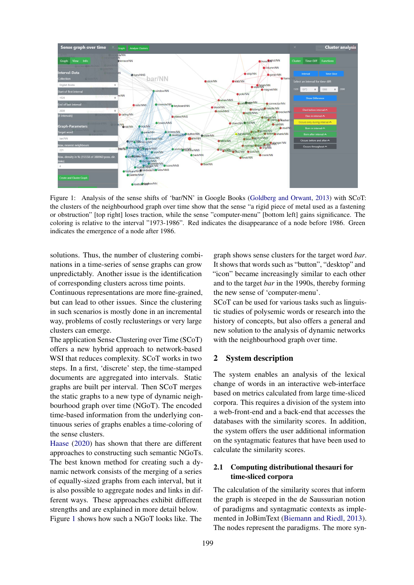<span id="page-1-0"></span>

Figure 1: Analysis of the sense shifts of 'bar/NN' in Google Books [\(Goldberg and Orwant,](#page-6-9) [2013\)](#page-6-9) with SCoT: the clusters of the neighbourhood graph over time show that the sense "a rigid piece of metal used as a fastening or obstruction" [top right] loses traction, while the sense "computer-menu" [bottom left] gains significance. The coloring is relative to the interval "1973-1986". Red indicates the disappearance of a node before 1986. Green indicates the emergence of a node after 1986.

solutions. Thus, the number of clustering combinations in a time-series of sense graphs can grow unpredictably. Another issue is the identification of corresponding clusters across time points.

Continuous representations are more fine-grained, but can lead to other issues. Since the clustering in such scenarios is mostly done in an incremental way, problems of costly reclusterings or very large clusters can emerge.

The application Sense Clustering over Time (SCoT) offers a new hybrid approach to network-based WSI that reduces complexity. SCoT works in two steps. In a first, 'discrete' step, the time-stamped documents are aggregated into intervals. Static graphs are built per interval. Then SCoT merges the static graphs to a new type of dynamic neighbourhood graph over time (NGoT). The encoded time-based information from the underlying continuous series of graphs enables a time-coloring of the sense clusters.

[Haase](#page-6-11) [\(2020\)](#page-6-11) has shown that there are different approaches to constructing such semantic NGoTs. The best known method for creating such a dynamic network consists of the merging of a series of equally-sized graphs from each interval, but it is also possible to aggregate nodes and links in different ways. These approaches exhibit different strengths and are explained in more detail below. Figure [1](#page-1-0) shows how such a NGoT looks like. The

graph shows sense clusters for the target word *bar*. It shows that words such as "button", "desktop" and "icon" became increasingly similar to each other and to the target *bar* in the 1990s, thereby forming the new sense of 'computer-menu'.

SCoT can be used for various tasks such as linguistic studies of polysemic words or research into the history of concepts, but also offers a general and new solution to the analysis of dynamic networks with the neighbourhood graph over time.

# 2 System description

The system enables an analysis of the lexical change of words in an interactive web-interface based on metrics calculated from large time-sliced corpora. This requires a division of the system into a web-front-end and a back-end that accesses the databases with the similarity scores. In addition, the system offers the user additional information on the syntagmatic features that have been used to calculate the similarity scores.

### 2.1 Computing distributional thesauri for time-sliced corpora

The calculation of the similarity scores that inform the graph is steeped in the de Saussurian notion of paradigms and syntagmatic contexts as implemented in JoBimText [\(Biemann and Riedl,](#page-6-12) [2013\)](#page-6-12). The nodes represent the paradigms. The more syn-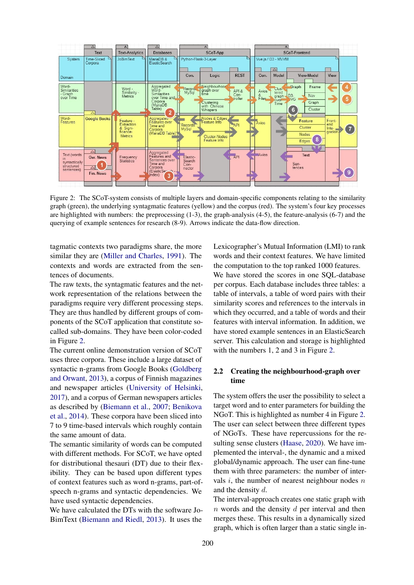<span id="page-2-0"></span>

Figure 2: The SCoT-system consists of multiple layers and domain-specific components relating to the similarity graph (green), the underlying syntagmatic features (yellow) and the corpus (red). The system's four key processes are highlighted with numbers: the preprocessing (1-3), the graph-analysis (4-5), the feature-analysis (6-7) and the querying of example sentences for research (8-9). Arrows indicate the data-flow direction.

tagmatic contexts two paradigms share, the more similar they are [\(Miller and Charles,](#page-6-13) [1991\)](#page-6-13). The contexts and words are extracted from the sentences of documents.

The raw texts, the syntagmatic features and the network representation of the relations between the paradigms require very different processing steps. They are thus handled by different groups of components of the SCoT application that constitute socalled sub-domains. They have been color-coded in Figure [2.](#page-2-0)

The current online demonstration version of SCoT uses three corpora. These include a large dataset of syntactic n-grams from Google Books [\(Goldberg](#page-6-9) [and Orwant,](#page-6-9) [2013\)](#page-6-9), a corpus of Finnish magazines and newspaper articles [\(University of Helsinki,](#page-6-14) [2017\)](#page-6-14), and a corpus of German newspapers articles as described by [\(Biemann et al.,](#page-6-15) [2007;](#page-6-15) [Benikova](#page-6-16) [et al.,](#page-6-16) [2014\)](#page-6-16). These corpora have been sliced into 7 to 9 time-based intervals which roughly contain the same amount of data.

The semantic similarity of words can be computed with different methods. For SCoT, we have opted for distributional thesauri (DT) due to their flexibility. They can be based upon different types of context features such as word n-grams, part-ofspeech n-grams and syntactic dependencies. We have used syntactic dependencies.

We have calculated the DTs with the software Jo-BimText [\(Biemann and Riedl,](#page-6-12) [2013\)](#page-6-12). It uses the

Lexicographer's Mutual Information (LMI) to rank words and their context features. We have limited the computation to the top ranked 1000 features. We have stored the scores in one SQL-database per corpus. Each database includes three tables: a table of intervals, a table of word pairs with their similarity scores and references to the intervals in which they occurred, and a table of words and their features with interval information. In addition, we have stored example sentences in an ElasticSearch server. This calculation and storage is highlighted with the numbers 1, 2 and 3 in Figure [2.](#page-2-0)

# 2.2 Creating the neighbourhood-graph over time

The system offers the user the possibility to select a target word and to enter parameters for building the NGoT. This is highlighted as number 4 in Figure [2.](#page-2-0) The user can select between three different types of NGoTs. These have repercussions for the resulting sense clusters [\(Haase,](#page-6-11) [2020\)](#page-6-11). We have implemented the interval-, the dynamic and a mixed global/dynamic approach. The user can fine-tune them with three parameters: the number of intervals  $i$ , the number of nearest neighbour nodes  $n$ and the density d.

The interval-approach creates one static graph with  $n$  words and the density  $d$  per interval and then merges these. This results in a dynamically sized graph, which is often larger than a static single in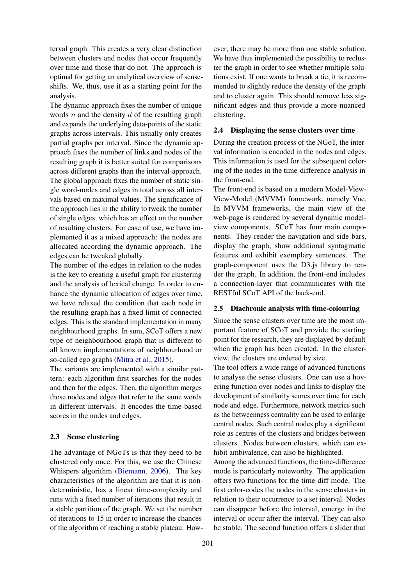terval graph. This creates a very clear distinction between clusters and nodes that occur frequently over time and those that do not. The approach is optimal for getting an analytical overview of senseshifts. We, thus, use it as a starting point for the analysis.

The dynamic approach fixes the number of unique words  $n$  and the density  $d$  of the resulting graph and expands the underlying data-points of the static graphs across intervals. This usually only creates partial graphs per interval. Since the dynamic approach fixes the number of links and nodes of the resulting graph it is better suited for comparisons across different graphs than the interval-approach. The global approach fixes the number of static single word-nodes and edges in total across all intervals based on maximal values. The significance of the approach lies in the ability to tweak the number of single edges, which has an effect on the number of resulting clusters. For ease of use, we have implemented it as a mixed approach: the nodes are allocated according the dynamic approach. The edges can be tweaked globally.

The number of the edges in relation to the nodes is the key to creating a useful graph for clustering and the analysis of lexical change. In order to enhance the dynamic allocation of edges over time, we have relaxed the condition that each node in the resulting graph has a fixed limit of connected edges. This is the standard implementation in many neighbourhood graphs. In sum, SCoT offers a new type of neighbourhood graph that is different to all known implementations of neighbourhood or so-called ego graphs [\(Mitra et al.,](#page-6-2) [2015\)](#page-6-2).

The variants are implemented with a similar pattern: each algorithm first searches for the nodes and then for the edges. Then, the algorithm merges those nodes and edges that refer to the same words in different intervals. It encodes the time-based scores in the nodes and edges.

#### 2.3 Sense clustering

The advantage of NGoTs is that they need to be clustered only once. For this, we use the Chinese Whispers algorithm [\(Biemann,](#page-6-17) [2006\)](#page-6-17). The key characteristics of the algorithm are that it is nondeterministic, has a linear time-complexity and runs with a fixed number of iterations that result in a stable partition of the graph. We set the number of iterations to 15 in order to increase the chances of the algorithm of reaching a stable plateau. How-

ever, there may be more than one stable solution. We have thus implemented the possibility to recluster the graph in order to see whether multiple solutions exist. If one wants to break a tie, it is recommended to slightly reduce the density of the graph and to cluster again. This should remove less significant edges and thus provide a more nuanced clustering.

#### 2.4 Displaying the sense clusters over time

During the creation process of the NGoT, the interval information is encoded in the nodes and edges. This information is used for the subsequent coloring of the nodes in the time-difference analysis in the front-end.

The front-end is based on a modern Model-View-View-Model (MVVM) framework, namely Vue. In MVVM frameworks, the main view of the web-page is rendered by several dynamic modelview components. SCoT has four main components. They render the navigation and side-bars, display the graph, show additional syntagmatic features and exhibit exemplary sentences. The graph-component uses the D3.js library to render the graph. In addition, the front-end includes a connection-layer that communicates with the RESTful SCoT API of the back-end.

#### 2.5 Diachronic analysis with time-colouring

Since the sense clusters over time are the most important feature of SCoT and provide the starting point for the research, they are displayed by default when the graph has been created. In the clusterview, the clusters are ordered by size.

The tool offers a wide range of advanced functions to analyse the sense clusters. One can use a hovering function over nodes and links to display the development of similarity scores over time for each node and edge. Furthermore, network metrics such as the betweenness centrality can be used to enlarge central nodes. Such central nodes play a significant role as centres of the clusters and bridges between clusters. Nodes between clusters, which can exhibit ambivalence, can also be highlighted.

Among the advanced functions, the time-difference mode is particularly noteworthy. The application offers two functions for the time-diff mode. The first color-codes the nodes in the sense clusters in relation to their occurrence to a set interval. Nodes can disappear before the interval, emerge in the interval or occur after the interval. They can also be stable. The second function offers a slider that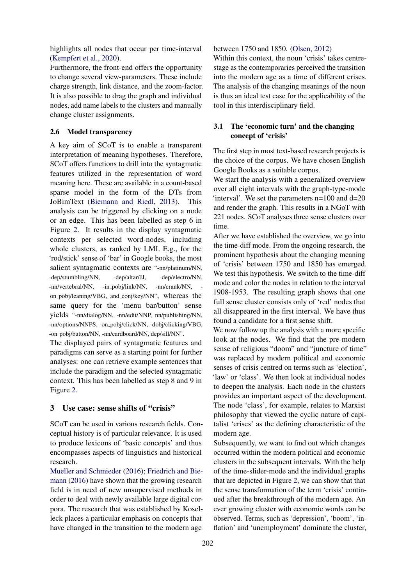highlights all nodes that occur per time-interval [\(Kempfert et al.,](#page-6-18) [2020\)](#page-6-18).

Furthermore, the front-end offers the opportunity to change several view-parameters. These include charge strength, link distance, and the zoom-factor. It is also possible to drag the graph and individual nodes, add name labels to the clusters and manually change cluster assignments.

### 2.6 Model transparency

A key aim of SCoT is to enable a transparent interpretation of meaning hypotheses. Therefore, SCoT offers functions to drill into the syntagmatic features utilized in the representation of word meaning here. These are available in a count-based sparse model in the form of the DTs from JoBimText [\(Biemann and Riedl,](#page-6-12) [2013\)](#page-6-12). This analysis can be triggered by clicking on a node or an edge. This has been labelled as step 6 in Figure [2.](#page-2-0) It results in the display syntagmatic contexts per selected word-nodes, including whole clusters, as ranked by LMI. E.g., for the 'rod/stick' sense of 'bar' in Google books, the most salient syntagmatic contexts are "-nn/platinum/NN, -dep/stumbling/NN, -dep/altar/JJ, -dep/electro/NN, -nn/vertebral/NN, -in\_pobj/link/NN, -nn/crank/NN, on pobj/leaning/VBG, and conj/key/NN", whereas the same query for the 'menu bar/button' sense yields "-nn/dialog/NN, -nn/edit/NNP, nn/publishing/NN, -nn/options/NNPS, -on pobj/click/NN, -dobj/clicking/VBG, -on pobj/button/NN, -nn/cardboard/NN, dep/sill/NN".

The displayed pairs of syntagmatic features and paradigms can serve as a starting point for further analyses: one can retrieve example sentences that include the paradigm and the selected syntagmatic context. This has been labelled as step 8 and 9 in Figure [2.](#page-2-0)

### 3 Use case: sense shifts of "crisis"

SCoT can be used in various research fields. Conceptual history is of particular relevance. It is used to produce lexicons of 'basic concepts' and thus encompasses aspects of linguistics and historical research.

[Mueller and Schmieder](#page-6-7) [\(2016\)](#page-6-7); [Friedrich and Bie](#page-6-8)[mann](#page-6-8) [\(2016\)](#page-6-8) have shown that the growing research field is in need of new unsupervised methods in order to deal with newly available large digital corpora. The research that was established by Koselleck places a particular emphasis on concepts that have changed in the transition to the modern age

#### between 1750 and 1850. [\(Olsen,](#page-6-19) [2012\)](#page-6-19)

Within this context, the noun 'crisis' takes centrestage as the contemporaries perceived the transition into the modern age as a time of different crises. The analysis of the changing meanings of the noun is thus an ideal test case for the applicability of the tool in this interdisciplinary field.

### 3.1 The 'economic turn' and the changing concept of 'crisis'

The first step in most text-based research projects is the choice of the corpus. We have chosen English Google Books as a suitable corpus.

We start the analysis with a generalized overview over all eight intervals with the graph-type-mode 'interval'. We set the parameters n=100 and d=20 and render the graph. This results in a NGoT with 221 nodes. SCoT analyses three sense clusters over time.

After we have established the overview, we go into the time-diff mode. From the ongoing research, the prominent hypothesis about the changing meaning of 'crisis' between 1750 and 1850 has emerged. We test this hypothesis. We switch to the time-diff mode and color the nodes in relation to the interval 1908-1953. The resulting graph shows that one full sense cluster consists only of 'red' nodes that all disappeared in the first interval. We have thus found a candidate for a first sense shift.

We now follow up the analysis with a more specific look at the nodes. We find that the pre-modern sense of religious "doom" and "juncture of time" was replaced by modern political and economic senses of crisis centred on terms such as 'election', 'law' or 'class'. We then look at individual nodes to deepen the analysis. Each node in the clusters provides an important aspect of the development. The node 'class', for example, relates to Marxist philosophy that viewed the cyclic nature of capitalist 'crises' as the defining characteristic of the modern age.

Subsequently, we want to find out which changes occurred within the modern political and economic clusters in the subsequent intervals. With the help of the time-slider-mode and the individual graphs that are depicted in Figure [2,](#page-2-0) we can show that that the sense transformation of the term 'crisis' continued after the breakthrough of the modern age. An ever growing cluster with economic words can be observed. Terms, such as 'depression', 'boom', 'inflation' and 'unemployment' dominate the cluster,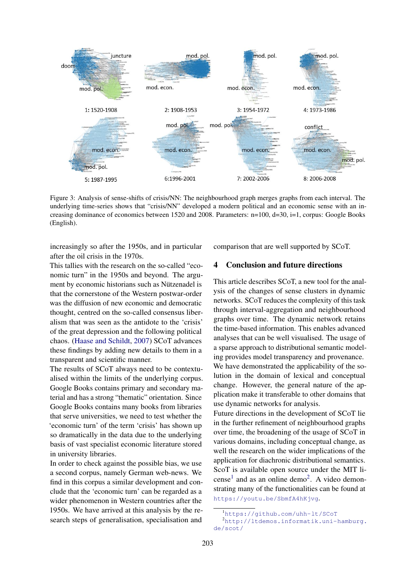

Figure 3: Analysis of sense-shifts of crisis/NN: The neighbourhood graph merges graphs from each interval. The underlying time-series shows that "crisis/NN" developed a modern political and an economic sense with an increasing dominance of economics between 1520 and 2008. Parameters: n=100, d=30, i=1, corpus: Google Books (English).

increasingly so after the 1950s, and in particular after the oil crisis in the 1970s.

This tallies with the research on the so-called "economic turn" in the 1950s and beyond. The argument by economic historians such as Nützenadel is that the cornerstone of the Western postwar-order was the diffusion of new economic and democratic thought, centred on the so-called consensus liberalism that was seen as the antidote to the 'crisis' of the great depression and the following political chaos. [\(Haase and Schildt,](#page-6-20) [2007\)](#page-6-20) SCoT advances these findings by adding new details to them in a transparent and scientific manner.

The results of SCoT always need to be contextualised within the limits of the underlying corpus. Google Books contains primary and secondary material and has a strong "thematic" orientation. Since Google Books contains many books from libraries that serve universities, we need to test whether the 'economic turn' of the term 'crisis' has shown up so dramatically in the data due to the underlying basis of vast specialist economic literature stored in university libraries.

In order to check against the possible bias, we use a second corpus, namely German web-news. We find in this corpus a similar development and conclude that the 'economic turn' can be regarded as a wider phenomenon in Western countries after the 1950s. We have arrived at this analysis by the research steps of generalisation, specialisation and comparison that are well supported by SCoT.

# 4 Conclusion and future directions

This article describes SCoT, a new tool for the analysis of the changes of sense clusters in dynamic networks. SCoT reduces the complexity of this task through interval-aggregation and neighbourhood graphs over time. The dynamic network retains the time-based information. This enables advanced analyses that can be well visualised. The usage of a sparse approach to distributional semantic modeling provides model transparency and provenance. We have demonstrated the applicability of the solution in the domain of lexical and conceptual change. However, the general nature of the application make it transferable to other domains that use dynamic networks for analysis.

Future directions in the development of SCoT lie in the further refinement of neighbourhood graphs over time, the broadening of the usage of SCoT in various domains, including conceptual change, as well the research on the wider implications of the application for diachronic distributional semantics. ScoT is available open source under the MIT li-cense<sup>[1](#page-5-0)</sup> and as an online demo<sup>[2](#page-5-1)</sup>. A video demonstrating many of the functionalities can be found at <https://youtu.be/SbmfA4hKjvg>.

<span id="page-5-1"></span><span id="page-5-0"></span><sup>1</sup><https://github.com/uhh-lt/SCoT>

<sup>2</sup>[http://ltdemos.informatik.uni-hamburg.](http://ltdemos.informatik.uni-hamburg.de/scot/) [de/scot/](http://ltdemos.informatik.uni-hamburg.de/scot/)